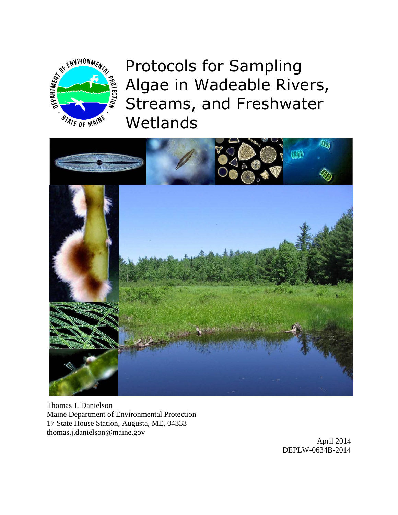

Protocols for Sampling Algae in Wadeable Rivers, Streams, and Freshwater **Wetlands** 



Thomas J. Danielson Maine Department of Environmental Protection 17 State House Station, Augusta, ME, 04333 thomas.j.danielson@maine.gov

April 2014 DEPLW-0634B-2014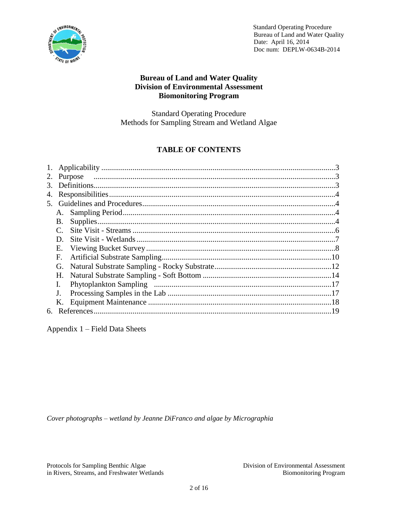

## **Bureau of Land and Water Quality Division of Environmental Assessment Biomonitoring Program**

Standard Operating Procedure Methods for Sampling Stream and Wetland Algae

# **TABLE OF CONTENTS**

| 1.             |              |  |  |
|----------------|--------------|--|--|
| 2.             |              |  |  |
| 3 <sub>1</sub> |              |  |  |
| 4.             |              |  |  |
| 5.             |              |  |  |
|                |              |  |  |
|                | В.           |  |  |
|                | $\mathbf{C}$ |  |  |
|                | D.           |  |  |
|                | Е.           |  |  |
|                | F.           |  |  |
|                | G.           |  |  |
|                | Н.           |  |  |
|                |              |  |  |
|                |              |  |  |
|                |              |  |  |
| 6.             |              |  |  |

Appendix 1 – Field Data Sheets

*Cover photographs – wetland by Jeanne DiFranco and algae by Micrographia*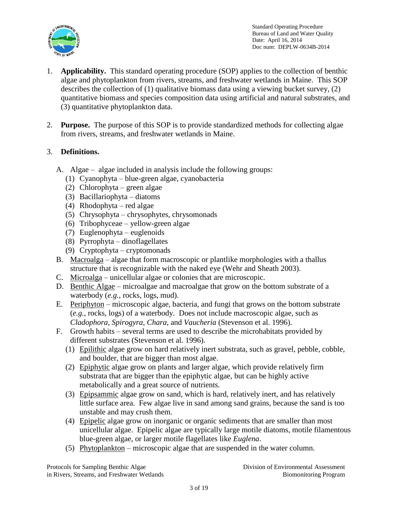

- 1. **Applicability.** This standard operating procedure (SOP) applies to the collection of benthic algae and phytoplankton from rivers, streams, and freshwater wetlands in Maine. This SOP describes the collection of (1) qualitative biomass data using a viewing bucket survey, (2) quantitative biomass and species composition data using artificial and natural substrates, and (3) quantitative phytoplankton data.
- 2. **Purpose.** The purpose of this SOP is to provide standardized methods for collecting algae from rivers, streams, and freshwater wetlands in Maine.

## 3. **Definitions.**

- A. Algae algae included in analysis include the following groups:
	- (1) Cyanophyta blue-green algae, cyanobacteria
	- (2) Chlorophyta green algae
	- (3) Bacillariophyta diatoms
	- (4) Rhodophyta red algae
	- (5) Chrysophyta chrysophytes, chrysomonads
	- (6) Tribophyceae yellow-green algae
	- (7) Euglenophyta euglenoids
	- (8) Pyrrophyta dinoflagellates
	- (9) Cryptophyta cryptomonads
- B. Macroalga algae that form macroscopic or plantlike morphologies with a thallus structure that is recognizable with the naked eye (Wehr and Sheath 2003).
- C. Microalga unicellular algae or colonies that are microscopic.
- D. Benthic Algae microalgae and macroalgae that grow on the bottom substrate of a waterbody (*e.g.*, rocks, logs, mud).
- E. Periphyton microscopic algae, bacteria, and fungi that grows on the bottom substrate (*e.g.*, rocks, logs) of a waterbody. Does not include macroscopic algae, such as *Cladophora*, *Spirogyra*, *Chara*, and *Vaucheria* (Stevenson et al. 1996).
- F. Growth habits several terms are used to describe the microhabitats provided by different substrates (Stevenson et al. 1996).
	- (1) Epilithic algae grow on hard relatively inert substrata, such as gravel, pebble, cobble, and boulder, that are bigger than most algae.
	- (2) Epiphytic algae grow on plants and larger algae, which provide relatively firm substrata that are bigger than the epiphytic algae, but can be highly active metabolically and a great source of nutrients.
	- (3) Epipsammic algae grow on sand, which is hard, relatively inert, and has relatively little surface area. Few algae live in sand among sand grains, because the sand is too unstable and may crush them.
	- (4) Epipelic algae grow on inorganic or organic sediments that are smaller than most unicellular algae. Epipelic algae are typically large motile diatoms, motile filamentous blue-green algae, or larger motile flagellates like *Euglena*.
	- (5) Phytoplankton microscopic algae that are suspended in the water column.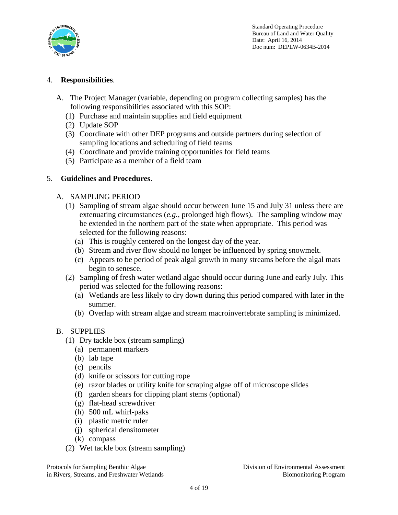

## 4. **Responsibilities**.

- A. The Project Manager (variable, depending on program collecting samples) has the following responsibilities associated with this SOP:
	- (1) Purchase and maintain supplies and field equipment
	- (2) Update SOP
	- (3) Coordinate with other DEP programs and outside partners during selection of sampling locations and scheduling of field teams
	- (4) Coordinate and provide training opportunities for field teams
	- (5) Participate as a member of a field team

### 5. **Guidelines and Procedures**.

### A. SAMPLING PERIOD

- (1) Sampling of stream algae should occur between June 15 and July 31 unless there are extenuating circumstances (*e.g.*, prolonged high flows). The sampling window may be extended in the northern part of the state when appropriate. This period was selected for the following reasons:
	- (a) This is roughly centered on the longest day of the year.
	- (b) Stream and river flow should no longer be influenced by spring snowmelt.
	- (c) Appears to be period of peak algal growth in many streams before the algal mats begin to senesce.
- (2) Sampling of fresh water wetland algae should occur during June and early July. This period was selected for the following reasons:
	- (a) Wetlands are less likely to dry down during this period compared with later in the summer.
	- (b) Overlap with stream algae and stream macroinvertebrate sampling is minimized.

### B. SUPPLIES

- (1) Dry tackle box (stream sampling)
	- (a) permanent markers
	- (b) lab tape
	- (c) pencils
	- (d) knife or scissors for cutting rope
	- (e) razor blades or utility knife for scraping algae off of microscope slides
	- (f) garden shears for clipping plant stems (optional)
	- (g) flat-head screwdriver
	- (h) 500 mL whirl-paks
	- (i) plastic metric ruler
	- (j) spherical densitometer
	- (k) compass
- (2) Wet tackle box (stream sampling)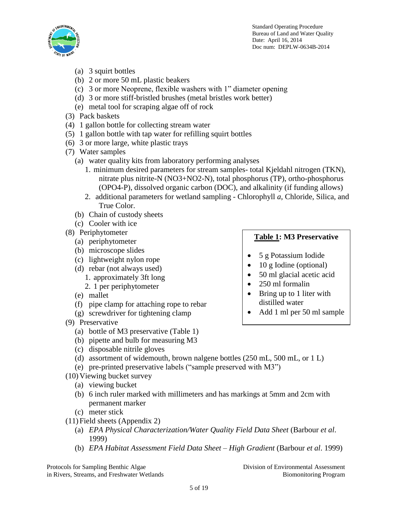

- (a) 3 squirt bottles
- (b) 2 or more 50 mL plastic beakers
- (c) 3 or more Neoprene, flexible washers with 1" diameter opening
- (d) 3 or more stiff-bristled brushes (metal bristles work better)
- (e) metal tool for scraping algae off of rock
- (3) Pack baskets
- (4) 1 gallon bottle for collecting stream water
- (5) 1 gallon bottle with tap water for refilling squirt bottles
- (6) 3 or more large, white plastic trays
- (7) Water samples
	- (a) water quality kits from laboratory performing analyses
		- 1. minimum desired parameters for stream samples- total Kjeldahl nitrogen (TKN), nitrate plus nitrite-N (NO3+NO2-N), total phosphorus (TP), ortho-phosphorus (OPO4-P), dissolved organic carbon (DOC), and alkalinity (if funding allows)
		- 2. additional parameters for wetland sampling Chlorophyll *a*, Chloride, Silica, and True Color.
	- (b) Chain of custody sheets
	- (c) Cooler with ice
- (8) Periphytometer
	- (a) periphytometer
	- (b) microscope slides
	- (c) lightweight nylon rope
	- (d) rebar (not always used)
		- 1. approximately 3ft long
		- 2. 1 per periphytometer
	- (e) mallet
	- (f) pipe clamp for attaching rope to rebar
	- (g) screwdriver for tightening clamp
- (9) Preservative
	- (a) bottle of M3 preservative (Table 1)
	- (b) pipette and bulb for measuring M3
	- (c) disposable nitrile gloves
	- (d) assortment of widemouth, brown nalgene bottles (250 mL, 500 mL, or 1 L)
	- (e) pre-printed preservative labels ("sample preserved with M3")
- (10)Viewing bucket survey
	- (a) viewing bucket
	- (b) 6 inch ruler marked with millimeters and has markings at 5mm and 2cm with permanent marker
	- (c) meter stick
- (11)Field sheets (Appendix 2)
	- (a) *EPA Physical Characterization/Water Quality Field Data Sheet* (Barbour *et al*. 1999)
	- (b) *EPA Habitat Assessment Field Data Sheet – High Gradient* (Barbour *et al*. 1999)

Protocols for Sampling Benthic Algae Division of Environmental Assessment in Rivers, Streams, and Freshwater Wetlands Biomonitoring Program Biomonitoring Program

## **Table 1: M3 Preservative**

- 5 g Potassium Iodide
- 10 g Iodine (optional)
- 50 ml glacial acetic acid
- 250 ml formalin
- $\bullet$  Bring up to 1 liter with distilled water
- Add 1 ml per 50 ml sample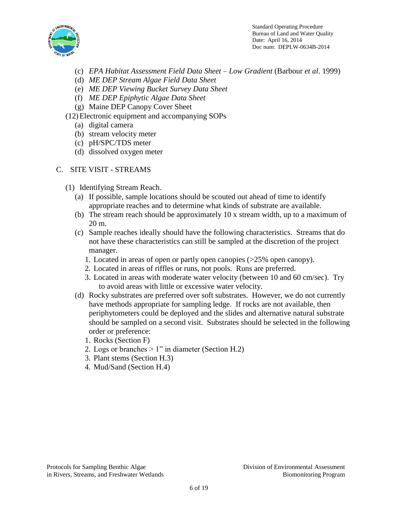

- (c) *EPA Habitat Assessment Field Data Sheet – Low Gradient* (Barbour *et al*. 1999)
- (d) *ME DEP Stream Algae Field Data Sheet*
- (e) *ME DEP Viewing Bucket Survey Data Sheet*
- (f) *ME DEP Epiphytic Algae Data Sheet*
- (g) Maine DEP Canopy Cover Sheet
- (12)Electronic equipment and accompanying SOPs
	- (a) digital camera
	- (b) stream velocity meter
	- (c) pH/SPC/TDS meter
	- (d) dissolved oxygen meter

### C. SITE VISIT - STREAMS

- (1) Identifying Stream Reach.
	- (a) If possible, sample locations should be scouted out ahead of time to identify appropriate reaches and to determine what kinds of substrate are available.
	- (b) The stream reach should be approximately 10 x stream width, up to a maximum of 20 m.
	- (c) Sample reaches ideally should have the following characteristics. Streams that do not have these characteristics can still be sampled at the discretion of the project manager.
		- 1. Located in areas of open or partly open canopies (>25% open canopy).
		- 2. Located in areas of riffles or runs, not pools. Runs are preferred.
		- 3. Located in areas with moderate water velocity (between 10 and 60 cm/sec). Try to avoid areas with little or excessive water velocity.
	- (d) Rocky substrates are preferred over soft substrates. However, we do not currently have methods appropriate for sampling ledge. If rocks are not available, then periphytometers could be deployed and the slides and alternative natural substrate should be sampled on a second visit. Substrates should be selected in the following order or preference:
		- 1. Rocks (Section F)
		- 2. Logs or branches  $> 1$ " in diameter (Section H.2)
		- 3. Plant stems (Section H.3)
		- 4. Mud/Sand (Section H.4)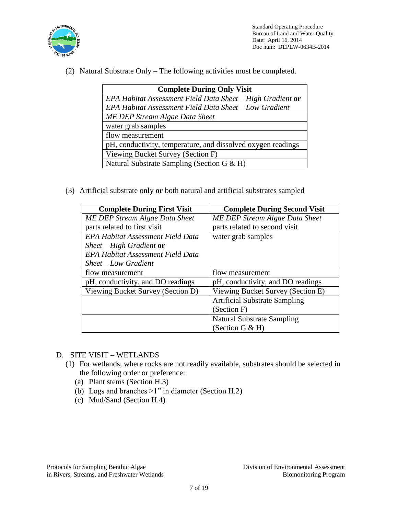

(2) Natural Substrate Only – The following activities must be completed.

| <b>Complete During Only Visit</b>                            |  |  |  |
|--------------------------------------------------------------|--|--|--|
| $EPA$ Habitat Assessment Field Data Sheet – High Gradient or |  |  |  |
| EPA Habitat Assessment Field Data Sheet - Low Gradient       |  |  |  |
| ME DEP Stream Algae Data Sheet                               |  |  |  |
| water grab samples                                           |  |  |  |
| flow measurement                                             |  |  |  |
| pH, conductivity, temperature, and dissolved oxygen readings |  |  |  |
| Viewing Bucket Survey (Section F)                            |  |  |  |
| Natural Substrate Sampling (Section G & H)                   |  |  |  |

(3) Artificial substrate only **or** both natural and artificial substrates sampled

| <b>Complete During First Visit</b>       | <b>Complete During Second Visit</b>  |
|------------------------------------------|--------------------------------------|
| ME DEP Stream Algae Data Sheet           | ME DEP Stream Algae Data Sheet       |
| parts related to first visit             | parts related to second visit        |
| EPA Habitat Assessment Field Data        | water grab samples                   |
| Sheet – High Gradient or                 |                                      |
| <b>EPA Habitat Assessment Field Data</b> |                                      |
| $Sheet - Low Gradient$                   |                                      |
| flow measurement                         | flow measurement                     |
| pH, conductivity, and DO readings        | pH, conductivity, and DO readings    |
| Viewing Bucket Survey (Section D)        | Viewing Bucket Survey (Section E)    |
|                                          | <b>Artificial Substrate Sampling</b> |
|                                          | (Section F)                          |
|                                          | <b>Natural Substrate Sampling</b>    |
|                                          | (Section G & H)                      |

- D. SITE VISIT WETLANDS
	- (1) For wetlands, where rocks are not readily available, substrates should be selected in the following order or preference:
		- (a) Plant stems (Section H.3)
		- (b) Logs and branches >1" in diameter (Section H.2)
		- (c) Mud/Sand (Section H.4)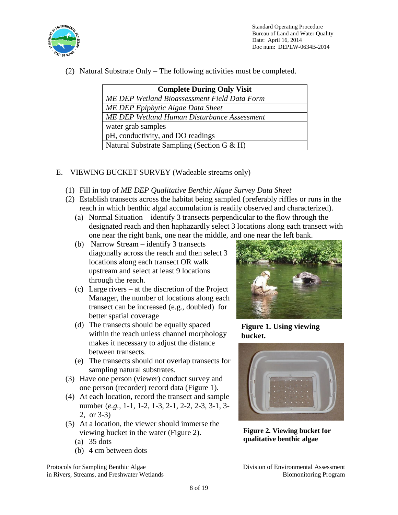

(2) Natural Substrate Only – The following activities must be completed.

| <b>Complete During Only Visit</b>                   |  |  |
|-----------------------------------------------------|--|--|
| <b>ME DEP Wetland Bioassessment Field Data Form</b> |  |  |
| ME DEP Epiphytic Algae Data Sheet                   |  |  |
| ME DEP Wetland Human Disturbance Assessment         |  |  |
| water grab samples                                  |  |  |
| pH, conductivity, and DO readings                   |  |  |
| Natural Substrate Sampling (Section G & H)          |  |  |

## E. VIEWING BUCKET SURVEY (Wadeable streams only)

- (1) Fill in top of *ME DEP Qualitative Benthic Algae Survey Data Sheet*
- (2) Establish transects across the habitat being sampled (preferably riffles or runs in the reach in which benthic algal accumulation is readily observed and characterized).
	- (a) Normal Situation identify 3 transects perpendicular to the flow through the designated reach and then haphazardly select 3 locations along each transect with one near the right bank, one near the middle, and one near the left bank.
	- (b) Narrow Stream identify 3 transects diagonally across the reach and then select 3 locations along each transect OR walk upstream and select at least 9 locations through the reach.
	- (c) Large rivers at the discretion of the Project Manager, the number of locations along each transect can be increased (e.g., doubled) for better spatial coverage
	- (d) The transects should be equally spaced within the reach unless channel morphology makes it necessary to adjust the distance between transects.
	- (e) The transects should not overlap transects for sampling natural substrates.
- (3) Have one person (viewer) conduct survey and one person (recorder) record data (Figure 1).
- (4) At each location, record the transect and sample number (*e.g.*, 1-1, 1-2, 1-3, 2-1, 2-2, 2-3, 3-1, 3- 2, or 3-3)
- (5) At a location, the viewer should immerse the viewing bucket in the water (Figure 2).
	- (a) 35 dots
	- (b) 4 cm between dots



**Figure 1. Using viewing bucket.**



**Figure 2. Viewing bucket for qualitative benthic algae**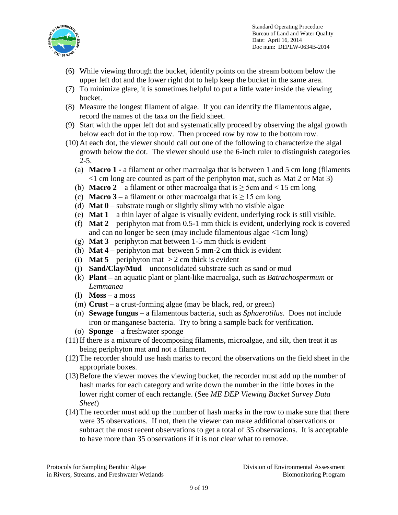

- (6) While viewing through the bucket, identify points on the stream bottom below the upper left dot and the lower right dot to help keep the bucket in the same area.
- (7) To minimize glare, it is sometimes helpful to put a little water inside the viewing bucket.
- (8) Measure the longest filament of algae. If you can identify the filamentous algae, record the names of the taxa on the field sheet.
- (9) Start with the upper left dot and systematically proceed by observing the algal growth below each dot in the top row. Then proceed row by row to the bottom row.
- (10)At each dot, the viewer should call out one of the following to characterize the algal growth below the dot. The viewer should use the 6-inch ruler to distinguish categories  $2 - 5.$ 
	- (a) **Macro 1 -** a filament or other macroalga that is between 1 and 5 cm long (filaments <1 cm long are counted as part of the periphyton mat, such as Mat 2 or Mat 3)
	- (b) **Macro**  $2 a$  filament or other macroalga that is  $\geq$  5cm and < 15 cm long
	- (c) **Macro**  $3 a$  filament or other macroalga that is  $\ge 15$  cm long
	- (d) **Mat 0** substrate rough or slightly slimy with no visible algae
	- (e) **Mat 1** a thin layer of algae is visually evident, underlying rock is still visible.
	- (f) **Mat 2** periphyton mat from 0.5-1 mm thick is evident, underlying rock is covered and can no longer be seen (may include filamentous algae <1cm long)
	- (g) **Mat 3** –periphyton mat between 1-5 mm thick is evident
	- (h) **Mat 4** periphyton mat between 5 mm-2 cm thick is evident
	- (i) **Mat 5** periphyton mat  $>$  2 cm thick is evident
	- (j) **Sand/Clay/Mud** unconsolidated substrate such as sand or mud
	- (k) **Plant –** an aquatic plant or plant-like macroalga, such as *Batrachospermum* or *Lemmanea*
	- (l) **Moss –** a moss
	- (m) **Crust –** a crust-forming algae (may be black, red, or green)
	- (n) **Sewage fungus –** a filamentous bacteria, such as *Sphaerotilus*. Does not include iron or manganese bacteria. Try to bring a sample back for verification.
	- (o) **Sponge**  a freshwater sponge
- (11)If there is a mixture of decomposing filaments, microalgae, and silt, then treat it as being periphyton mat and not a filament.
- (12)The recorder should use hash marks to record the observations on the field sheet in the appropriate boxes.
- (13)Before the viewer moves the viewing bucket, the recorder must add up the number of hash marks for each category and write down the number in the little boxes in the lower right corner of each rectangle. (See *ME DEP Viewing Bucket Survey Data Sheet*)
- (14)The recorder must add up the number of hash marks in the row to make sure that there were 35 observations. If not, then the viewer can make additional observations or subtract the most recent observations to get a total of 35 observations. It is acceptable to have more than 35 observations if it is not clear what to remove.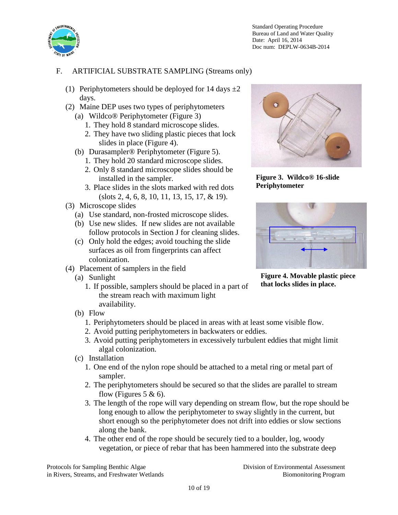

# F. ARTIFICIAL SUBSTRATE SAMPLING (Streams only)

- (1) Periphytometers should be deployed for 14 days  $\pm 2$ days.
- (2) Maine DEP uses two types of periphytometers (a) Wildco® Periphytometer (Figure 3)
	- 1. They hold 8 standard microscope slides.
	- 2. They have two sliding plastic pieces that lock slides in place (Figure 4).
	- (b) Durasampler® Periphytometer (Figure 5).
		- 1. They hold 20 standard microscope slides.
		- 2. Only 8 standard microscope slides should be installed in the sampler.
		- 3. Place slides in the slots marked with red dots (slots 2, 4, 6, 8, 10, 11, 13, 15, 17, & 19).
- (3) Microscope slides
	- (a) Use standard, non-frosted microscope slides.
	- (b) Use new slides. If new slides are not available follow protocols in Section J for cleaning slides.
	- (c) Only hold the edges; avoid touching the slide surfaces as oil from fingerprints can affect colonization.
- (4) Placement of samplers in the field
	- (a) Sunlight
		- 1. If possible, samplers should be placed in a part of the stream reach with maximum light availability.



**Figure 3. Wildco® 16-slide Periphytometer**



**Figure 4. Movable plastic piece that locks slides in place.**

- (b) Flow
	- 1. Periphytometers should be placed in areas with at least some visible flow.
	- 2. Avoid putting periphytometers in backwaters or eddies.
	- 3. Avoid putting periphytometers in excessively turbulent eddies that might limit algal colonization.
- (c) Installation
	- 1. One end of the nylon rope should be attached to a metal ring or metal part of sampler.
	- 2. The periphytometers should be secured so that the slides are parallel to stream flow (Figures 5 & 6).
	- 3. The length of the rope will vary depending on stream flow, but the rope should be long enough to allow the periphytometer to sway slightly in the current, but short enough so the periphytometer does not drift into eddies or slow sections along the bank.
	- 4. The other end of the rope should be securely tied to a boulder, log, woody vegetation, or piece of rebar that has been hammered into the substrate deep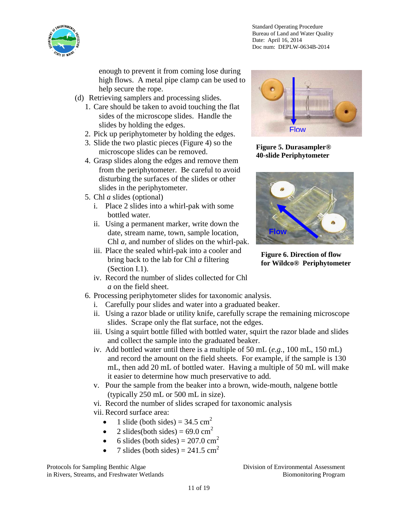

enough to prevent it from coming lose during high flows. A metal pipe clamp can be used to help secure the rope.

- (d) Retrieving samplers and processing slides.
	- 1. Care should be taken to avoid touching the flat sides of the microscope slides. Handle the slides by holding the edges.
	- 2. Pick up periphytometer by holding the edges.
	- 3. Slide the two plastic pieces (Figure 4) so the microscope slides can be removed.
	- 4. Grasp slides along the edges and remove them from the periphytometer. Be careful to avoid disturbing the surfaces of the slides or other slides in the periphytometer.
	- 5. Chl *a* slides (optional)
		- i. Place 2 slides into a whirl-pak with some bottled water.
		- ii. Using a permanent marker, write down the date, stream name, town, sample location, Chl *a*, and number of slides on the whirl-pak.
		- iii. Place the sealed whirl-pak into a cooler and bring back to the lab for Chl *a* filtering (Section I.1).
		- iv. Record the number of slides collected for Chl *a* on the field sheet.
	- 6. Processing periphytometer slides for taxonomic analysis.
		- i. Carefully pour slides and water into a graduated beaker.
		- ii. Using a razor blade or utility knife, carefully scrape the remaining microscope slides. Scrape only the flat surface, not the edges.
		- iii. Using a squirt bottle filled with bottled water, squirt the razor blade and slides and collect the sample into the graduated beaker.
		- iv. Add bottled water until there is a multiple of 50 mL (*e.g.*, 100 mL, 150 mL) and record the amount on the field sheets. For example, if the sample is 130 mL, then add 20 mL of bottled water. Having a multiple of 50 mL will make it easier to determine how much preservative to add.
		- v. Pour the sample from the beaker into a brown, wide-mouth, nalgene bottle (typically 250 mL or 500 mL in size).

vi. Record the number of slides scraped for taxonomic analysis

- vii. Record surface area:
	- 1 slide (both sides) =  $34.5 \text{ cm}^2$
	- 2 slides(both sides) =  $69.0 \text{ cm}^2$
	- 6 slides (both sides) =  $207.0 \text{ cm}^2$
	- 7 slides (both sides) =  $241.5 \text{ cm}^2$



**Figure 5. Durasampler® 40-slide Periphytometer**



**Figure 6. Direction of flow for Wildco® Periphytometer**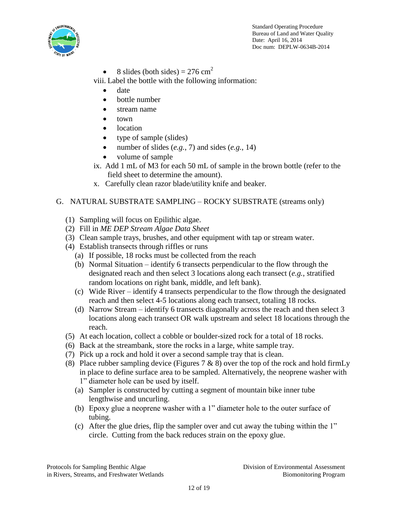

• 8 slides (both sides) =  $276 \text{ cm}^2$ 

viii. Label the bottle with the following information:

- date
- bottle number
- stream name
- town
- location
- type of sample (slides)
- number of slides (*e.g.*, 7) and sides (*e.g.*, 14)
- volume of sample
- ix. Add 1 mL of M3 for each 50 mL of sample in the brown bottle (refer to the field sheet to determine the amount).
- x. Carefully clean razor blade/utility knife and beaker.

## G. NATURAL SUBSTRATE SAMPLING – ROCKY SUBSTRATE (streams only)

- (1) Sampling will focus on Epilithic algae.
- (2) Fill in *ME DEP Stream Algae Data Sheet*
- (3) Clean sample trays, brushes, and other equipment with tap or stream water.
- (4) Establish transects through riffles or runs
	- (a) If possible, 18 rocks must be collected from the reach
	- (b) Normal Situation identify 6 transects perpendicular to the flow through the designated reach and then select 3 locations along each transect (*e.g.*, stratified random locations on right bank, middle, and left bank).
	- (c) Wide River identify 4 transects perpendicular to the flow through the designated reach and then select 4-5 locations along each transect, totaling 18 rocks.
	- (d) Narrow Stream identify 6 transects diagonally across the reach and then select 3 locations along each transect OR walk upstream and select 18 locations through the reach.
- (5) At each location, collect a cobble or boulder-sized rock for a total of 18 rocks.
- (6) Back at the streambank, store the rocks in a large, white sample tray.
- (7) Pick up a rock and hold it over a second sample tray that is clean.
- (8) Place rubber sampling device (Figures 7 & 8) over the top of the rock and hold firmLy in place to define surface area to be sampled. Alternatively, the neoprene washer with
	- 1" diameter hole can be used by itself.
	- (a) Sampler is constructed by cutting a segment of mountain bike inner tube lengthwise and uncurling.
	- (b) Epoxy glue a neoprene washer with a 1" diameter hole to the outer surface of tubing.
	- (c) After the glue dries, flip the sampler over and cut away the tubing within the 1" circle. Cutting from the back reduces strain on the epoxy glue.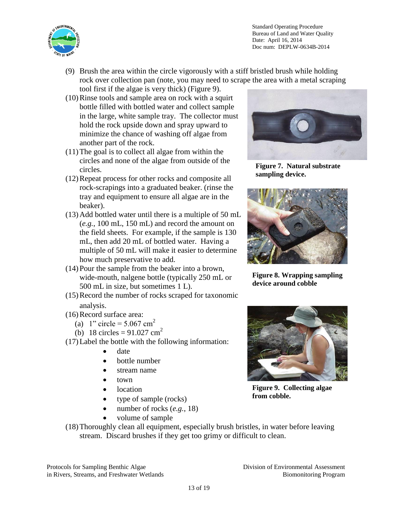

- (9) Brush the area within the circle vigorously with a stiff bristled brush while holding rock over collection pan (note, you may need to scrape the area with a metal scraping tool first if the algae is very thick) (Figure 9).
- (10)Rinse tools and sample area on rock with a squirt bottle filled with bottled water and collect sample in the large, white sample tray. The collector must hold the rock upside down and spray upward to minimize the chance of washing off algae from another part of the rock.
- (11)The goal is to collect all algae from within the circles and none of the algae from outside of the circles.
- (12)Repeat process for other rocks and composite all rock-scrapings into a graduated beaker. (rinse the tray and equipment to ensure all algae are in the beaker).
- (13)Add bottled water until there is a multiple of 50 mL (*e.g.*, 100 mL, 150 mL) and record the amount on the field sheets. For example, if the sample is 130 mL, then add 20 mL of bottled water. Having a multiple of 50 mL will make it easier to determine how much preservative to add.
- (14)Pour the sample from the beaker into a brown, wide-mouth, nalgene bottle (typically 250 mL or 500 mL in size, but sometimes 1 L).
- (15)Record the number of rocks scraped for taxonomic analysis.
- (16)Record surface area:
	- (a) 1" circle =  $5.067$  cm<sup>2</sup>
	- (b) 18 circles =  $91.027$  cm<sup>2</sup>
- (17)Label the bottle with the following information:
	- date
	- bottle number
	- stream name
	- $\bullet$  town
	- location
	- type of sample (rocks)
	- number of rocks (*e.g.*, 18)
	- volume of sample



**Figure 7. Natural substrate sampling device.**



**Figure 8. Wrapping sampling device around cobble**



**Figure 9. Collecting algae from cobble.**

(18)Thoroughly clean all equipment, especially brush bristles, in water before leaving stream. Discard brushes if they get too grimy or difficult to clean.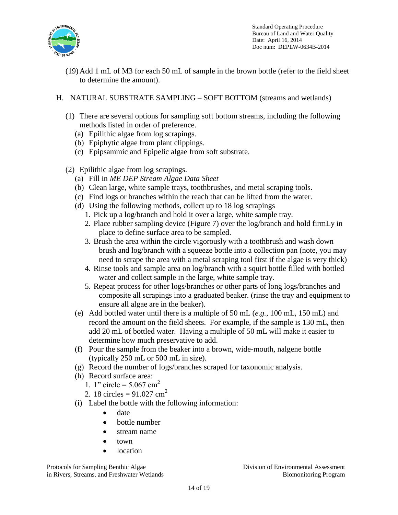

(19)Add 1 mL of M3 for each 50 mL of sample in the brown bottle (refer to the field sheet to determine the amount).

## H. NATURAL SUBSTRATE SAMPLING – SOFT BOTTOM (streams and wetlands)

- (1) There are several options for sampling soft bottom streams, including the following methods listed in order of preference.
	- (a) Epilithic algae from log scrapings.
	- (b) Epiphytic algae from plant clippings.
	- (c) Epipsammic and Epipelic algae from soft substrate.
- (2) Epilithic algae from log scrapings.
	- (a) Fill in *ME DEP Stream Algae Data Sheet*
	- (b) Clean large, white sample trays, toothbrushes, and metal scraping tools.
	- (c) Find logs or branches within the reach that can be lifted from the water.
	- (d) Using the following methods, collect up to 18 log scrapings
		- 1. Pick up a log/branch and hold it over a large, white sample tray.
		- 2. Place rubber sampling device (Figure 7) over the log/branch and hold firmLy in place to define surface area to be sampled.
		- 3. Brush the area within the circle vigorously with a toothbrush and wash down brush and log/branch with a squeeze bottle into a collection pan (note, you may need to scrape the area with a metal scraping tool first if the algae is very thick)
		- 4. Rinse tools and sample area on log/branch with a squirt bottle filled with bottled water and collect sample in the large, white sample tray.
		- 5. Repeat process for other logs/branches or other parts of long logs/branches and composite all scrapings into a graduated beaker. (rinse the tray and equipment to ensure all algae are in the beaker).
	- (e) Add bottled water until there is a multiple of 50 mL (*e.g.*, 100 mL, 150 mL) and record the amount on the field sheets. For example, if the sample is 130 mL, then add 20 mL of bottled water. Having a multiple of 50 mL will make it easier to determine how much preservative to add.
	- (f) Pour the sample from the beaker into a brown, wide-mouth, nalgene bottle (typically 250 mL or 500 mL in size).
	- (g) Record the number of logs/branches scraped for taxonomic analysis.
	- (h) Record surface area:
		- 1. 1" circle =  $5.067$  cm<sup>2</sup>
		- 2. 18 circles =  $91.027$  cm<sup>2</sup>
	- (i) Label the bottle with the following information:
		- date
		- bottle number
		- stream name
		- $\bullet$  town
		- location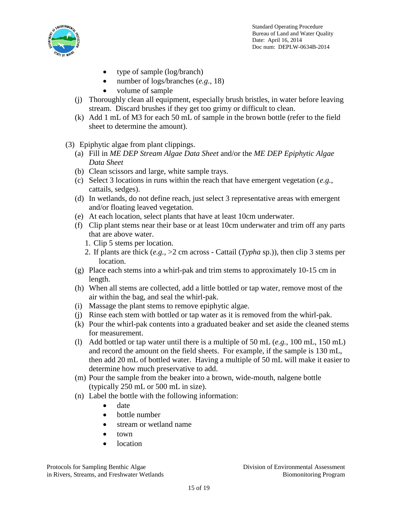

- type of sample (log/branch)
- number of logs/branches (*e.g.*, 18)
- volume of sample
- (j) Thoroughly clean all equipment, especially brush bristles, in water before leaving stream. Discard brushes if they get too grimy or difficult to clean.
- (k) Add 1 mL of M3 for each 50 mL of sample in the brown bottle (refer to the field sheet to determine the amount).
- (3) Epiphytic algae from plant clippings.
	- (a) Fill in *ME DEP Stream Algae Data Sheet* and/or the *ME DEP Epiphytic Algae Data Sheet*
	- (b) Clean scissors and large, white sample trays.
	- (c) Select 3 locations in runs within the reach that have emergent vegetation (*e.g.*, cattails, sedges).
	- (d) In wetlands, do not define reach, just select 3 representative areas with emergent and/or floating leaved vegetation.
	- (e) At each location, select plants that have at least 10cm underwater.
	- (f) Clip plant stems near their base or at least 10cm underwater and trim off any parts that are above water.
		- 1. Clip 5 stems per location.
		- 2. If plants are thick (*e.g.*, >2 cm across Cattail (*Typha* sp.)), then clip 3 stems per location.
	- (g) Place each stems into a whirl-pak and trim stems to approximately 10-15 cm in length.
	- (h) When all stems are collected, add a little bottled or tap water, remove most of the air within the bag, and seal the whirl-pak.
	- (i) Massage the plant stems to remove epiphytic algae.
	- (j) Rinse each stem with bottled or tap water as it is removed from the whirl-pak.
	- (k) Pour the whirl-pak contents into a graduated beaker and set aside the cleaned stems for measurement.
	- (l) Add bottled or tap water until there is a multiple of 50 mL (*e.g.*, 100 mL, 150 mL) and record the amount on the field sheets. For example, if the sample is 130 mL, then add 20 mL of bottled water. Having a multiple of 50 mL will make it easier to determine how much preservative to add.
	- (m) Pour the sample from the beaker into a brown, wide-mouth, nalgene bottle (typically 250 mL or 500 mL in size).
	- (n) Label the bottle with the following information:
		- date
		- bottle number
		- stream or wetland name
		- $\bullet$  town
		- location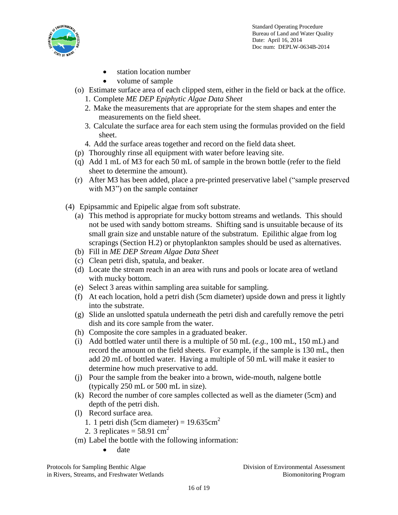

- station location number
- volume of sample
- (o) Estimate surface area of each clipped stem, either in the field or back at the office.
	- 1. Complete *ME DEP Epiphytic Algae Data Sheet*
	- 2. Make the measurements that are appropriate for the stem shapes and enter the measurements on the field sheet.
	- 3. Calculate the surface area for each stem using the formulas provided on the field sheet.
	- 4. Add the surface areas together and record on the field data sheet.
- (p) Thoroughly rinse all equipment with water before leaving site.
- (q) Add 1 mL of M3 for each 50 mL of sample in the brown bottle (refer to the field sheet to determine the amount).
- (r) After M3 has been added, place a pre-printed preservative label ("sample preserved with M3") on the sample container
- (4) Epipsammic and Epipelic algae from soft substrate.
	- (a) This method is appropriate for mucky bottom streams and wetlands. This should not be used with sandy bottom streams. Shifting sand is unsuitable because of its small grain size and unstable nature of the substratum. Epilithic algae from log scrapings (Section H.2) or phytoplankton samples should be used as alternatives.
	- (b) Fill in *ME DEP Stream Algae Data Sheet*
	- (c) Clean petri dish, spatula, and beaker.
	- (d) Locate the stream reach in an area with runs and pools or locate area of wetland with mucky bottom.
	- (e) Select 3 areas within sampling area suitable for sampling.
	- (f) At each location, hold a petri dish (5cm diameter) upside down and press it lightly into the substrate.
	- (g) Slide an unslotted spatula underneath the petri dish and carefully remove the petri dish and its core sample from the water.
	- (h) Composite the core samples in a graduated beaker.
	- (i) Add bottled water until there is a multiple of 50 mL (*e.g.*, 100 mL, 150 mL) and record the amount on the field sheets. For example, if the sample is 130 mL, then add 20 mL of bottled water. Having a multiple of 50 mL will make it easier to determine how much preservative to add.
	- (j) Pour the sample from the beaker into a brown, wide-mouth, nalgene bottle (typically 250 mL or 500 mL in size).
	- (k) Record the number of core samples collected as well as the diameter (5cm) and depth of the petri dish.
	- (l) Record surface area.
		- 1. 1 petri dish (5cm diameter) =  $19.635 \text{cm}^2$
		- 2. 3 replicates  $=$  58.91 cm<sup>2</sup>
	- (m) Label the bottle with the following information:
		- date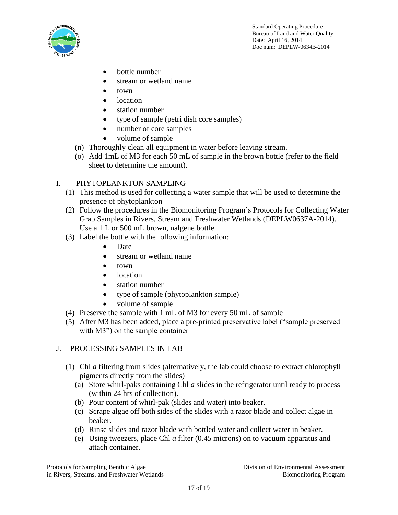

- bottle number
- stream or wetland name
- $\bullet$  town
- location
- station number
- type of sample (petri dish core samples)
- number of core samples
- volume of sample
- (n) Thoroughly clean all equipment in water before leaving stream.
- (o) Add 1mL of M3 for each 50 mL of sample in the brown bottle (refer to the field sheet to determine the amount).

### I. PHYTOPLANKTON SAMPLING

- (1) This method is used for collecting a water sample that will be used to determine the presence of phytoplankton
- (2) Follow the procedures in the Biomonitoring Program's Protocols for Collecting Water Grab Samples in Rivers, Stream and Freshwater Wetlands (DEPLW0637A-2014). Use a 1 L or 500 mL brown, nalgene bottle.
- (3) Label the bottle with the following information:
	- Date
	- stream or wetland name
	- town
	- location
	- station number
	- type of sample (phytoplankton sample)
	- volume of sample
- (4) Preserve the sample with 1 mL of M3 for every 50 mL of sample
- (5) After M3 has been added, place a pre-printed preservative label ("sample preserved with M3") on the sample container

### J. PROCESSING SAMPLES IN LAB

- (1) Chl *a* filtering from slides (alternatively, the lab could choose to extract chlorophyll pigments directly from the slides)
	- (a) Store whirl-paks containing Chl *a* slides in the refrigerator until ready to process (within 24 hrs of collection).
	- (b) Pour content of whirl-pak (slides and water) into beaker.
	- (c) Scrape algae off both sides of the slides with a razor blade and collect algae in beaker.
	- (d) Rinse slides and razor blade with bottled water and collect water in beaker.
	- (e) Using tweezers, place Chl *a* filter (0.45 microns) on to vacuum apparatus and attach container.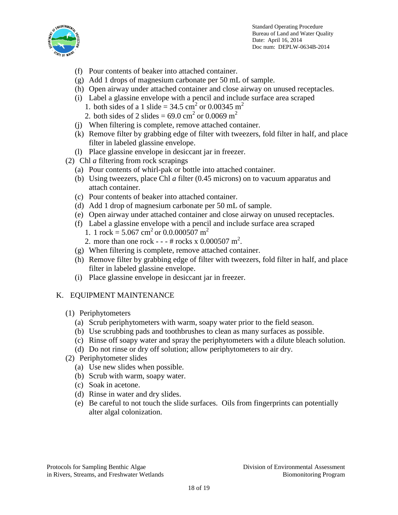

- (f) Pour contents of beaker into attached container.
- (g) Add 1 drops of magnesium carbonate per 50 mL of sample.
- (h) Open airway under attached container and close airway on unused receptacles.
- (i) Label a glassine envelope with a pencil and include surface area scraped
	- 1. both sides of a 1 slide =  $34.5 \text{ cm}^2$  or 0.00345 m<sup>2</sup>
	- 2. both sides of 2 slides =  $69.0 \text{ cm}^2$  or 0.0069 m<sup>2</sup>
- (j) When filtering is complete, remove attached container.
- (k) Remove filter by grabbing edge of filter with tweezers, fold filter in half, and place filter in labeled glassine envelope.
- (l) Place glassine envelope in desiccant jar in freezer.
- (2) Chl *a* filtering from rock scrapings
	- (a) Pour contents of whirl-pak or bottle into attached container.
	- (b) Using tweezers, place Chl *a* filter (0.45 microns) on to vacuum apparatus and attach container.
	- (c) Pour contents of beaker into attached container.
	- (d) Add 1 drop of magnesium carbonate per 50 mL of sample.
	- (e) Open airway under attached container and close airway on unused receptacles.
	- (f) Label a glassine envelope with a pencil and include surface area scraped
		- 1. 1 rock =  $5.067 \text{ cm}^2 \text{ or } 0.0.000507 \text{ m}^2$ 2. more than one rock -  $- + \#$  rocks x 0.000507 m<sup>2</sup>.
	- (g) When filtering is complete, remove attached container.
	- (h) Remove filter by grabbing edge of filter with tweezers, fold filter in half, and place filter in labeled glassine envelope.
	- (i) Place glassine envelope in desiccant jar in freezer.

# K. EQUIPMENT MAINTENANCE

- (1) Periphytometers
	- (a) Scrub periphytometers with warm, soapy water prior to the field season.
	- (b) Use scrubbing pads and toothbrushes to clean as many surfaces as possible.
	- (c) Rinse off soapy water and spray the periphytometers with a dilute bleach solution.
	- (d) Do not rinse or dry off solution; allow periphytometers to air dry.
- (2) Periphytometer slides
	- (a) Use new slides when possible.
	- (b) Scrub with warm, soapy water.
	- (c) Soak in acetone.
	- (d) Rinse in water and dry slides.
	- (e) Be careful to not touch the slide surfaces. Oils from fingerprints can potentially alter algal colonization.